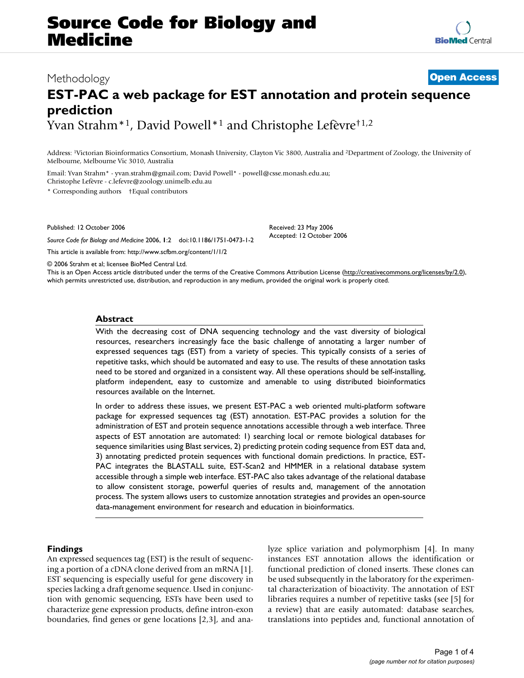# Methodology **[Open Access](http://www.biomedcentral.com/info/about/charter/) EST-PAC a web package for EST annotation and protein sequence prediction** Yvan Strahm<sup>\*1</sup>, David Powell<sup>\*1</sup> and Christophe Lefèvre<sup>†1,2</sup>

Address: 1Victorian Bioinformatics Consortium, Monash University, Clayton Vic 3800, Australia and 2Department of Zoology, the University of Melbourne, Melbourne Vic 3010, Australia

Email: Yvan Strahm\* - yvan.strahm@gmail.com; David Powell\* - powell@csse.monash.edu.au; Christophe Lefèvre - c.lefevre@zoology.unimelb.edu.au

\* Corresponding authors †Equal contributors

Published: 12 October 2006

*Source Code for Biology and Medicine* 2006, **1**:2 doi:10.1186/1751-0473-1-2

[This article is available from: http://www.scfbm.org/content/1/1/2](http://www.scfbm.org/content/1/1/2)

© 2006 Strahm et al; licensee BioMed Central Ltd.

This is an Open Access article distributed under the terms of the Creative Commons Attribution License [\(http://creativecommons.org/licenses/by/2.0\)](http://creativecommons.org/licenses/by/2.0), which permits unrestricted use, distribution, and reproduction in any medium, provided the original work is properly cited.

Received: 23 May 2006 Accepted: 12 October 2006

#### **Abstract**

With the decreasing cost of DNA sequencing technology and the vast diversity of biological resources, researchers increasingly face the basic challenge of annotating a larger number of expressed sequences tags (EST) from a variety of species. This typically consists of a series of repetitive tasks, which should be automated and easy to use. The results of these annotation tasks need to be stored and organized in a consistent way. All these operations should be self-installing, platform independent, easy to customize and amenable to using distributed bioinformatics resources available on the Internet.

In order to address these issues, we present EST-PAC a web oriented multi-platform software package for expressed sequences tag (EST) annotation. EST-PAC provides a solution for the administration of EST and protein sequence annotations accessible through a web interface. Three aspects of EST annotation are automated: 1) searching local or remote biological databases for sequence similarities using Blast services, 2) predicting protein coding sequence from EST data and, 3) annotating predicted protein sequences with functional domain predictions. In practice, EST-PAC integrates the BLASTALL suite, EST-Scan2 and HMMER in a relational database system accessible through a simple web interface. EST-PAC also takes advantage of the relational database to allow consistent storage, powerful queries of results and, management of the annotation process. The system allows users to customize annotation strategies and provides an open-source data-management environment for research and education in bioinformatics.

#### **Findings**

An expressed sequences tag (EST) is the result of sequencing a portion of a cDNA clone derived from an mRNA [1]. EST sequencing is especially useful for gene discovery in species lacking a draft genome sequence. Used in conjunction with genomic sequencing, ESTs have been used to characterize gene expression products, define intron-exon boundaries, find genes or gene locations [2,3], and analyze splice variation and polymorphism [4]. In many instances EST annotation allows the identification or functional prediction of cloned inserts. These clones can be used subsequently in the laboratory for the experimental characterization of bioactivity. The annotation of EST libraries requires a number of repetitive tasks (see [5] for a review) that are easily automated: database searches, translations into peptides and, functional annotation of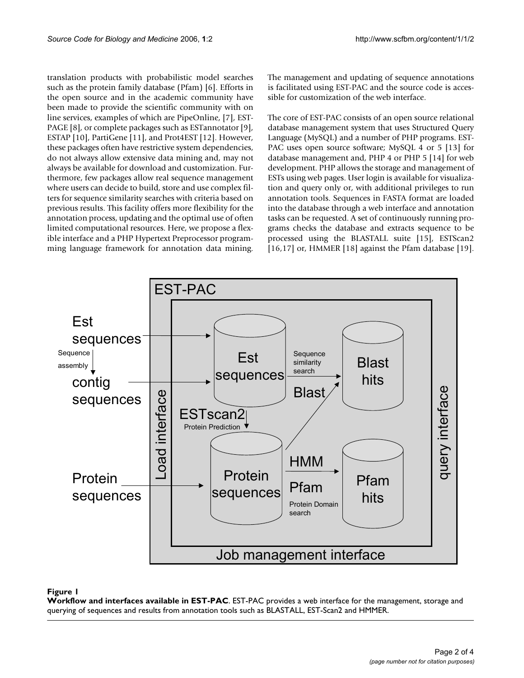translation products with probabilistic model searches such as the protein family database (Pfam) [6]. Efforts in the open source and in the academic community have been made to provide the scientific community with on line services, examples of which are PipeOnline, [7], EST-PAGE [8], or complete packages such as ESTannotator [9], ESTAP [10], PartiGene [11], and Prot4EST [12]. However, these packages often have restrictive system dependencies, do not always allow extensive data mining and, may not always be available for download and customization. Furthermore, few packages allow real sequence management where users can decide to build, store and use complex filters for sequence similarity searches with criteria based on previous results. This facility offers more flexibility for the annotation process, updating and the optimal use of often limited computational resources. Here, we propose a flexible interface and a PHP Hypertext Preprocessor programming language framework for annotation data mining.

The management and updating of sequence annotations is facilitated using EST-PAC and the source code is accessible for customization of the web interface.

The core of EST-PAC consists of an open source relational database management system that uses Structured Query Language (MySQL) and a number of PHP programs. EST-PAC uses open source software; MySQL 4 or 5 [13] for database management and, PHP 4 or PHP 5 [14] for web development. PHP allows the storage and management of ESTs using web pages. User login is available for visualization and query only or, with additional privileges to run annotation tools. Sequences in FASTA format are loaded into the database through a web interface and annotation tasks can be requested. A set of continuously running programs checks the database and extracts sequence to be processed using the BLASTALL suite [15], ESTScan2 [16,17] or, HMMER [18] against the Pfam database [19].



#### **Figure 1**

**Workflow and interfaces available in EST-PAC**. EST-PAC provides a web interface for the management, storage and querying of sequences and results from annotation tools such as BLASTALL, EST-Scan2 and HMMER.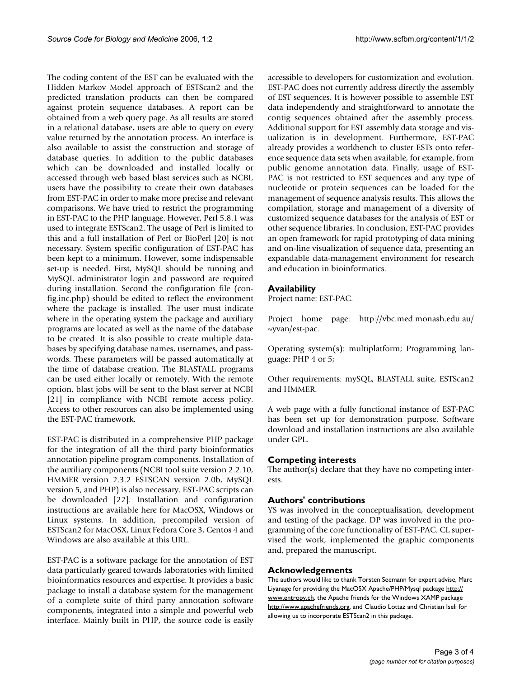The coding content of the EST can be evaluated with the Hidden Markov Model approach of ESTScan2 and the predicted translation products can then be compared against protein sequence databases. A report can be obtained from a web query page. As all results are stored in a relational database, users are able to query on every value returned by the annotation process. An interface is also available to assist the construction and storage of database queries. In addition to the public databases which can be downloaded and installed locally or accessed through web based blast services such as NCBI, users have the possibility to create their own databases from EST-PAC in order to make more precise and relevant comparisons. We have tried to restrict the programming in EST-PAC to the PHP language. However, Perl 5.8.1 was used to integrate ESTScan2. The usage of Perl is limited to this and a full installation of Perl or BioPerl [20] is not necessary. System specific configuration of EST-PAC has been kept to a minimum. However, some indispensable set-up is needed. First, MySQL should be running and MySQL administrator login and password are required during installation. Second the configuration file (config.inc.php) should be edited to reflect the environment where the package is installed. The user must indicate where in the operating system the package and auxiliary programs are located as well as the name of the database to be created. It is also possible to create multiple databases by specifying database names, usernames, and passwords. These parameters will be passed automatically at the time of database creation. The BLASTALL programs can be used either locally or remotely. With the remote option, blast jobs will be sent to the blast server at NCBI [21] in compliance with NCBI remote access policy. Access to other resources can also be implemented using the EST-PAC framework.

EST-PAC is distributed in a comprehensive PHP package for the integration of all the third party bioinformatics annotation pipeline program components. Installation of the auxiliary components (NCBI tool suite version 2.2.10, HMMER version 2.3.2 ESTSCAN version 2.0b, MySQL version 5, and PHP) is also necessary. EST-PAC scripts can be downloaded [22]. Installation and configuration instructions are available here for MacOSX, Windows or Linux systems. In addition, precompiled version of ESTScan2 for MacOSX, Linux Fedora Core 3, Centos 4 and Windows are also available at this URL.

EST-PAC is a software package for the annotation of EST data particularly geared towards laboratories with limited bioinformatics resources and expertise. It provides a basic package to install a database system for the management of a complete suite of third party annotation software components, integrated into a simple and powerful web interface. Mainly built in PHP, the source code is easily accessible to developers for customization and evolution. EST-PAC does not currently address directly the assembly of EST sequences. It is however possible to assemble EST data independently and straightforward to annotate the contig sequences obtained after the assembly process. Additional support for EST assembly data storage and visualization is in development. Furthermore, EST-PAC already provides a workbench to cluster ESTs onto reference sequence data sets when available, for example, from public genome annotation data. Finally, usage of EST-PAC is not restricted to EST sequences and any type of nucleotide or protein sequences can be loaded for the management of sequence analysis results. This allows the compilation, storage and management of a diversity of customized sequence databases for the analysis of EST or other sequence libraries. In conclusion, EST-PAC provides an open framework for rapid prototyping of data mining and on-line visualization of sequence data, presenting an expandable data-management environment for research and education in bioinformatics.

# **Availability**

Project name: EST-PAC.

Project home page: [http://vbc.med.monash.edu.au/](http://vbc.med.monash.edu.au/~yvan/est-pac) [~yvan/est-pac.](http://vbc.med.monash.edu.au/~yvan/est-pac)

Operating system(s): multiplatform; Programming language: PHP 4 or 5;

Other requirements: mySQL, BLASTALL suite, ESTScan2 and HMMER.

A web page with a fully functional instance of EST-PAC has been set up for demonstration purpose. Software download and installation instructions are also available under GPL.

# **Competing interests**

The author(s) declare that they have no competing interests.

# **Authors' contributions**

YS was involved in the conceptualisation, development and testing of the package. DP was involved in the programming of the core functionality of EST-PAC. CL supervised the work, implemented the graphic components and, prepared the manuscript.

# **Acknowledgements**

The authors would like to thank Torsten Seemann for expert advise, Marc Liyanage for providing the MacOSX Apache/PHP/Mysql package [http://](http://www.entropy.ch) [www.entropy.ch,](http://www.entropy.ch) the Apache friends for the Windows XAMP package <http://www.apachefriends.org>, and Claudio Lottaz and Christian Iseli for allowing us to incorporate ESTScan2 in this package.